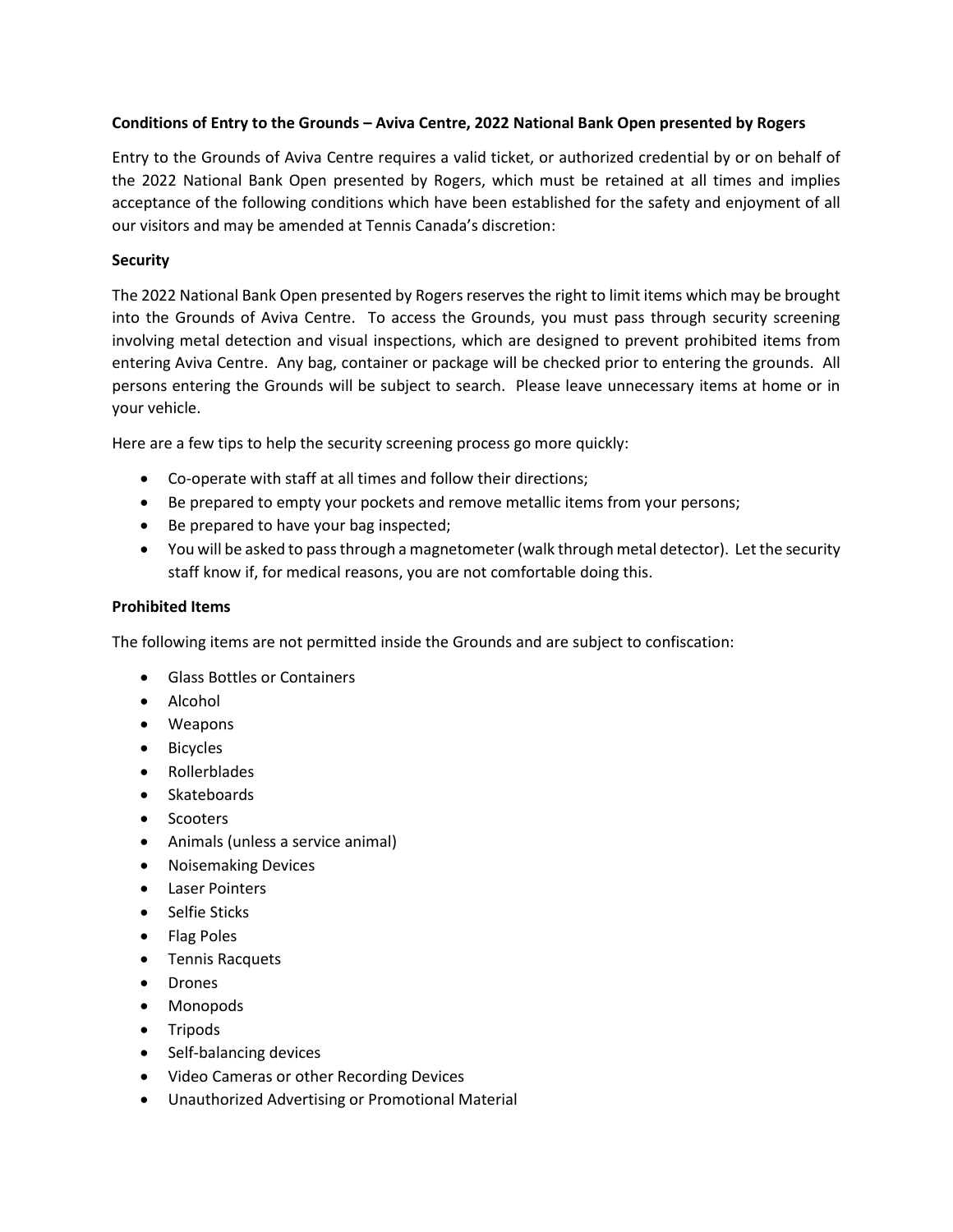#### **Conditions of Entry to the Grounds – Aviva Centre, 2022 National Bank Open presented by Rogers**

Entry to the Grounds of Aviva Centre requires a valid ticket, or authorized credential by or on behalf of the 2022 National Bank Open presented by Rogers, which must be retained at all times and implies acceptance of the following conditions which have been established for the safety and enjoyment of all our visitors and may be amended at Tennis Canada's discretion:

## **Security**

The 2022 National Bank Open presented by Rogers reserves the right to limit items which may be brought into the Grounds of Aviva Centre. To access the Grounds, you must pass through security screening involving metal detection and visual inspections, which are designed to prevent prohibited items from entering Aviva Centre. Any bag, container or package will be checked prior to entering the grounds. All persons entering the Grounds will be subject to search. Please leave unnecessary items at home or in your vehicle.

Here are a few tips to help the security screening process go more quickly:

- Co-operate with staff at all times and follow their directions;
- Be prepared to empty your pockets and remove metallic items from your persons;
- Be prepared to have your bag inspected;
- You will be asked to passthrough a magnetometer (walk through metal detector). Let the security staff know if, for medical reasons, you are not comfortable doing this.

# **Prohibited Items**

The following items are not permitted inside the Grounds and are subject to confiscation:

- Glass Bottles or Containers
- Alcohol
- Weapons
- Bicycles
- Rollerblades
- Skateboards
- Scooters
- Animals (unless a service animal)
- Noisemaking Devices
- Laser Pointers
- Selfie Sticks
- Flag Poles
- Tennis Racquets
- Drones
- Monopods
- Tripods
- Self-balancing devices
- Video Cameras or other Recording Devices
- Unauthorized Advertising or Promotional Material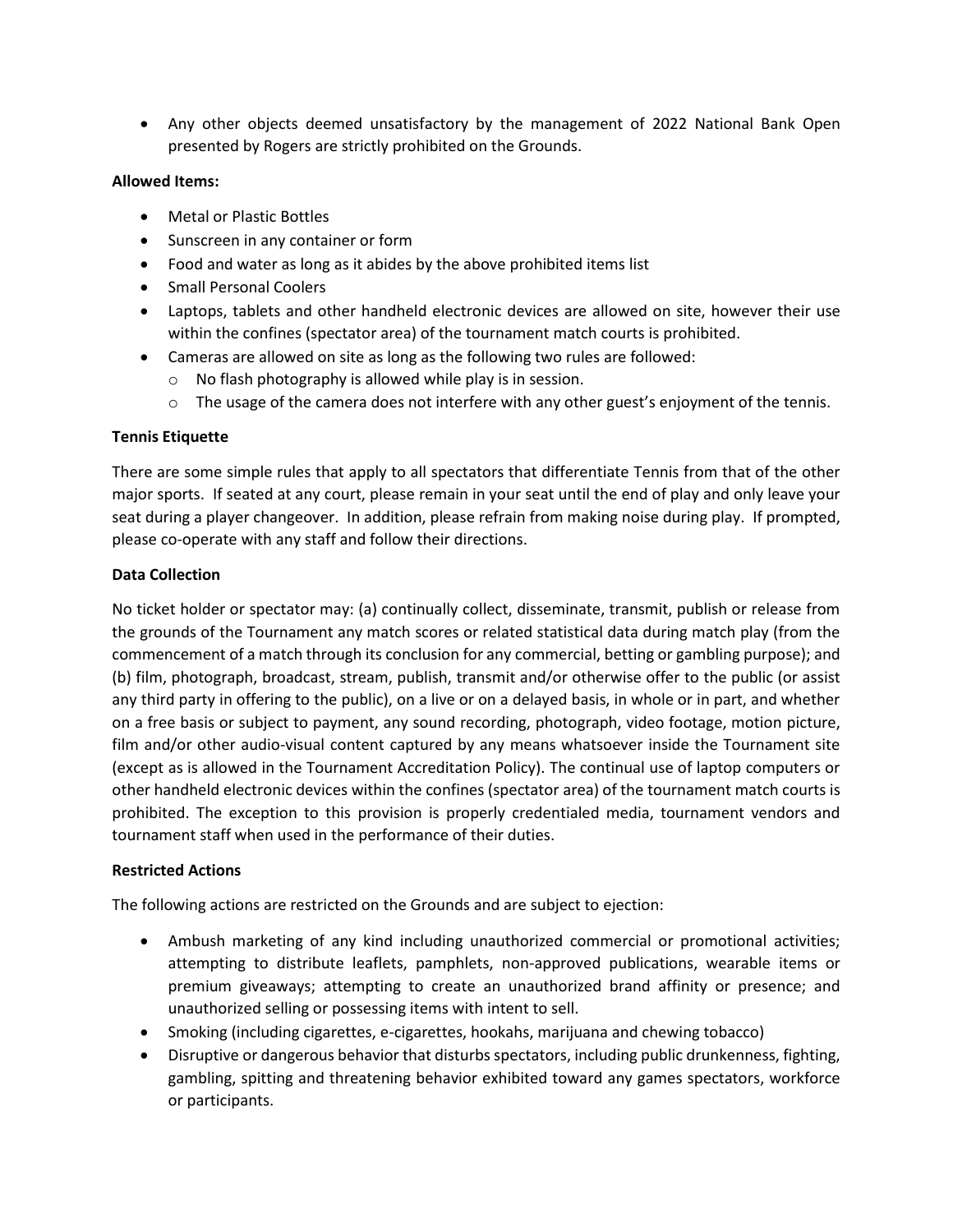• Any other objects deemed unsatisfactory by the management of 2022 National Bank Open presented by Rogers are strictly prohibited on the Grounds.

## **Allowed Items:**

- Metal or Plastic Bottles
- Sunscreen in any container or form
- Food and water as long as it abides by the above prohibited items list
- Small Personal Coolers
- Laptops, tablets and other handheld electronic devices are allowed on site, however their use within the confines (spectator area) of the tournament match courts is prohibited.
- Cameras are allowed on site as long as the following two rules are followed:
	- o No flash photography is allowed while play is in session.
	- $\circ$  The usage of the camera does not interfere with any other guest's enjoyment of the tennis.

## **Tennis Etiquette**

There are some simple rules that apply to all spectators that differentiate Tennis from that of the other major sports. If seated at any court, please remain in your seat until the end of play and only leave your seat during a player changeover. In addition, please refrain from making noise during play. If prompted, please co-operate with any staff and follow their directions.

#### **Data Collection**

No ticket holder or spectator may: (a) continually collect, disseminate, transmit, publish or release from the grounds of the Tournament any match scores or related statistical data during match play (from the commencement of a match through its conclusion for any commercial, betting or gambling purpose); and (b) film, photograph, broadcast, stream, publish, transmit and/or otherwise offer to the public (or assist any third party in offering to the public), on a live or on a delayed basis, in whole or in part, and whether on a free basis or subject to payment, any sound recording, photograph, video footage, motion picture, film and/or other audio-visual content captured by any means whatsoever inside the Tournament site (except as is allowed in the Tournament Accreditation Policy). The continual use of laptop computers or other handheld electronic devices within the confines (spectator area) of the tournament match courts is prohibited. The exception to this provision is properly credentialed media, tournament vendors and tournament staff when used in the performance of their duties.

#### **Restricted Actions**

The following actions are restricted on the Grounds and are subject to ejection:

- Ambush marketing of any kind including unauthorized commercial or promotional activities; attempting to distribute leaflets, pamphlets, non-approved publications, wearable items or premium giveaways; attempting to create an unauthorized brand affinity or presence; and unauthorized selling or possessing items with intent to sell.
- Smoking (including cigarettes, e-cigarettes, hookahs, marijuana and chewing tobacco)
- Disruptive or dangerous behavior that disturbs spectators, including public drunkenness, fighting, gambling, spitting and threatening behavior exhibited toward any games spectators, workforce or participants.